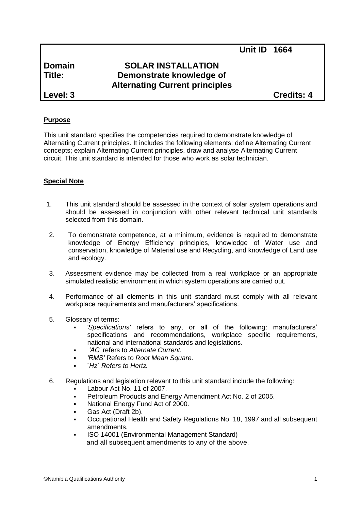# **Domain SOLAR INSTALLATION Title: Demonstrate knowledge of Alternating Current principles**

**Level: 3 Credits: 4**

# **Purpose**

This unit standard specifies the competencies required to demonstrate knowledge of Alternating Current principles. It includes the following elements: define Alternating Current concepts; explain Alternating Current principles, draw and analyse Alternating Current circuit. This unit standard is intended for those who work as solar technician.

# **Special Note**

- 1. This unit standard should be assessed in the context of solar system operations and should be assessed in conjunction with other relevant technical unit standards selected from this domain.
- 2. To demonstrate competence, at a minimum, evidence is required to demonstrate knowledge of Energy Efficiency principles, knowledge of Water use and conservation, knowledge of Material use and Recycling, and knowledge of Land use and ecology.
- 3. Assessment evidence may be collected from a real workplace or an appropriate simulated realistic environment in which system operations are carried out.
- 4. Performance of all elements in this unit standard must comply with all relevant workplace requirements and manufacturers' specifications.
- 5. Glossary of terms:
	- *'Specifications'* refers to any, or all of the following: manufacturers' specifications and recommendations, workplace specific requirements, national and international standards and legislations.
	- *'AC'* refers to *Alternate Current.*
	- *'RMS'* Refers to *Root Mean Square.*
	- *`Hz` Refers to Hertz.*
- 6. Regulations and legislation relevant to this unit standard include the following:
	- Labour Act No. 11 of 2007.
	- Petroleum Products and Energy Amendment Act No. 2 of 2005.
	- National Energy Fund Act of 2000.
	- Gas Act (Draft 2b).
	- Occupational Health and Safety Regulations No. 18, 1997 and all subsequent amendments.
	- ISO 14001 (Environmental Management Standard) and all subsequent amendments to any of the above.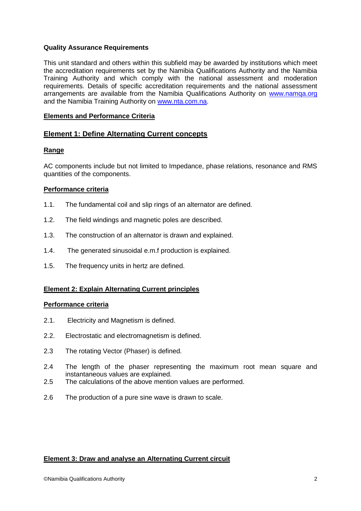## **Quality Assurance Requirements**

This unit standard and others within this subfield may be awarded by institutions which meet the accreditation requirements set by the Namibia Qualifications Authority and the Namibia Training Authority and which comply with the national assessment and moderation requirements. Details of specific accreditation requirements and the national assessment arrangements are available from the Namibia Qualifications Authority on [www.namqa.org](http://www.namqa.org/) and the Namibia Training Authority on [www.nta.com.na.](http://www.nta.com.na/)

## **Elements and Performance Criteria**

## **Element 1: Define Alternating Current concepts**

#### **Range**

AC components include but not limited to Impedance, phase relations, resonance and RMS quantities of the components.

#### **Performance criteria**

- 1.1. The fundamental coil and slip rings of an alternator are defined.
- 1.2. The field windings and magnetic poles are described.
- 1.3. The construction of an alternator is drawn and explained.
- 1.4. The generated sinusoidal e.m.f production is explained.
- 1.5. The frequency units in hertz are defined.

# **Element 2: Explain Alternating Current principles**

#### **Performance criteria**

- 2.1. Electricity and Magnetism is defined.
- 2.2. Electrostatic and electromagnetism is defined.
- 2.3 The rotating Vector (Phaser) is defined.
- 2.4 The length of the phaser representing the maximum root mean square and instantaneous values are explained.
- 2.5 The calculations of the above mention values are performed.
- 2.6 The production of a pure sine wave is drawn to scale.

#### **Element 3: Draw and analyse an Alternating Current circuit**